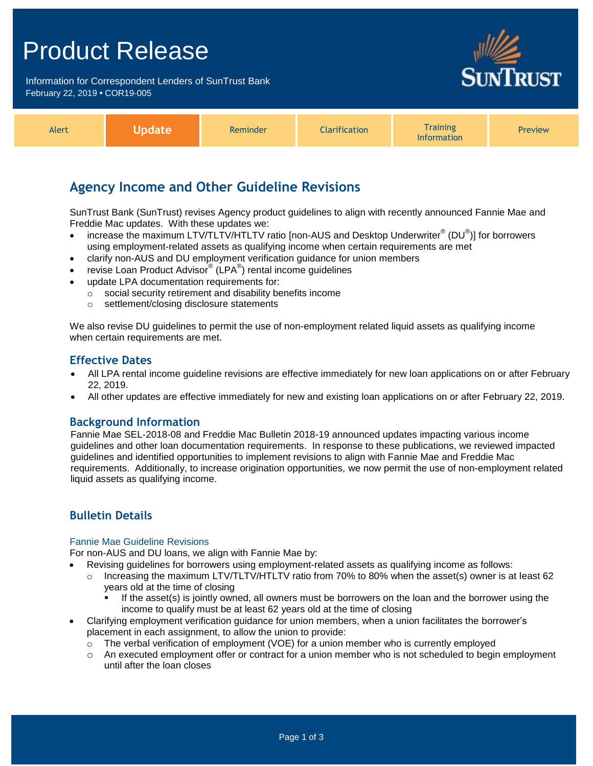## Product Release

Information for Correspondent Lenders of SunTrust Bank February 22, 2019 **•** COR19-005



| Alert | Jpdatel | Reminder | <b>Clarification</b> | <i>i</i> raining<br>Information | <b>Preview</b> |
|-------|---------|----------|----------------------|---------------------------------|----------------|
|-------|---------|----------|----------------------|---------------------------------|----------------|

## **Agency Income and Other Guideline Revisions**

SunTrust Bank (SunTrust) revises Agency product guidelines to align with recently announced Fannie Mae and Freddie Mac updates. With these updates we:

- increase the maximum LTV/TLTV/HTLTV ratio [non-AUS and Desktop Underwriter® (DU®)] for borrowers using employment-related assets as qualifying income when certain requirements are met
- clarify non-AUS and DU employment verification guidance for union members
- **•** revise Loan Product Advisor® (LPA®) rental income guidelines
- update LPA documentation requirements for:
	- o social security retirement and disability benefits income
	- o settlement/closing disclosure statements

We also revise DU guidelines to permit the use of non-employment related liquid assets as qualifying income when certain requirements are met.

#### **Effective Dates**

- All LPA rental income guideline revisions are effective immediately for new loan applications on or after February 22, 2019.
- All other updates are effective immediately for new and existing loan applications on or after February 22, 2019.

#### **Background Information**

Fannie Mae SEL-2018-08 and Freddie Mac Bulletin 2018-19 announced updates impacting various income guidelines and other loan documentation requirements. In response to these publications, we reviewed impacted guidelines and identified opportunities to implement revisions to align with Fannie Mae and Freddie Mac requirements. Additionally, to increase origination opportunities, we now permit the use of non-employment related liquid assets as qualifying income.

### **Bulletin Details**

#### Fannie Mae Guideline Revisions

For non-AUS and DU loans, we align with Fannie Mae by:

- Revising guidelines for borrowers using employment-related assets as qualifying income as follows:
	- $\circ$  Increasing the maximum LTV/TLTV/HTLTV ratio from 70% to 80% when the asset(s) owner is at least 62 years old at the time of closing
		- If the asset(s) is jointly owned, all owners must be borrowers on the loan and the borrower using the income to qualify must be at least 62 years old at the time of closing
- Clarifying employment verification guidance for union members, when a union facilitates the borrower's placement in each assignment, to allow the union to provide:
	- $\circ$  The verbal verification of employment (VOE) for a union member who is currently employed
	- o An executed employment offer or contract for a union member who is not scheduled to begin employment until after the loan closes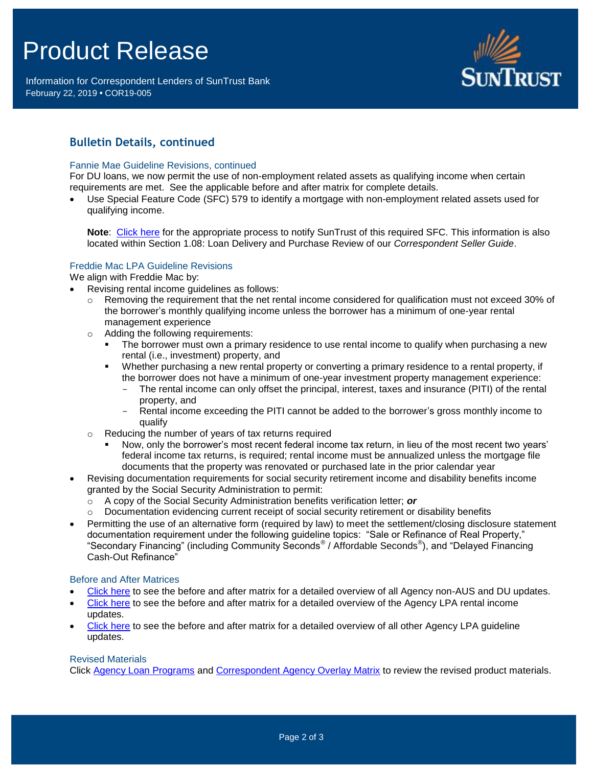# Product Release

Information for Correspondent Lenders of SunTrust Bank February 22, 2019 **•** COR19-005



## **Bulletin Details, continued**

#### Fannie Mae Guideline Revisions, continued

For DU loans, we now permit the use of non-employment related assets as qualifying income when certain requirements are met. See the applicable before and after matrix for complete details.

 Use Special Feature Code (SFC) 579 to identify a mortgage with non-employment related assets used for qualifying income.

**Note**: [Click here](https://www.truistsellerguide.com/manual/cor/general/Instructions%20for%20Entering%20SFCs.pdf) for the appropriate process to notify SunTrust of this required SFC. This information is also located within Section 1.08: Loan Delivery and Purchase Review of our *Correspondent Seller Guide*.

#### Freddie Mac LPA Guideline Revisions

We align with Freddie Mac by:

- Revising rental income guidelines as follows:
	- $\circ$  Removing the requirement that the net rental income considered for qualification must not exceed 30% of the borrower's monthly qualifying income unless the borrower has a minimum of one-year rental management experience
	- o Adding the following requirements:
		- The borrower must own a primary residence to use rental income to qualify when purchasing a new rental (i.e., investment) property, and
		- Whether purchasing a new rental property or converting a primary residence to a rental property, if the borrower does not have a minimum of one-year investment property management experience:
			- The rental income can only offset the principal, interest, taxes and insurance (PITI) of the rental property, and
			- Rental income exceeding the PITI cannot be added to the borrower's gross monthly income to qualify
	- o Reducing the number of years of tax returns required
		- Now, only the borrower's most recent federal income tax return, in lieu of the most recent two years' federal income tax returns, is required; rental income must be annualized unless the mortgage file documents that the property was renovated or purchased late in the prior calendar year
- Revising documentation requirements for social security retirement income and disability benefits income granted by the Social Security Administration to permit:
	- o A copy of the Social Security Administration benefits verification letter; *or*
	- $\circ$  Documentation evidencing current receipt of social security retirement or disability benefits
- Permitting the use of an alternative form (required by law) to meet the settlement/closing disclosure statement documentation requirement under the following guideline topics: "Sale or Refinance of Real Property," "Secondary Financing" (including Community Seconds® / Affordable Seconds® ), and "Delayed Financing Cash-Out Refinance"

#### Before and After Matrices

- [Click here](http://www.truistsellerguide.com/manual/cor/products/Cr19-005BA%20-%20Fannie.pdf) to see the before and after matrix for a detailed overview of all Agency non-AUS and DU updates.
- [Click here](http://www.truistsellerguide.com/manual/cor/products/Cr19-005BA%20-%20LPA%20Rental%20Income.pdf) to see the before and after matrix for a detailed overview of the Agency LPA rental income updates.
- [Click here](http://www.truistsellerguide.com/manual/cor/products/Cr19-005BA%20-%20Excludes%20LPA%20Rental%20Income.pdf) to see the before and after matrix for a detailed overview of all other Agency LPA guideline updates.

#### Revised Materials

Click [Agency Loan Programs](https://www.truistsellerguide.com/manual/cor/products/CAgency.pdf) and [Correspondent Agency Overlay Matrix](https://www.truistsellerguide.com/manual/cor/products/CAgencyCreditOverlays.pdf) to review the revised product materials.